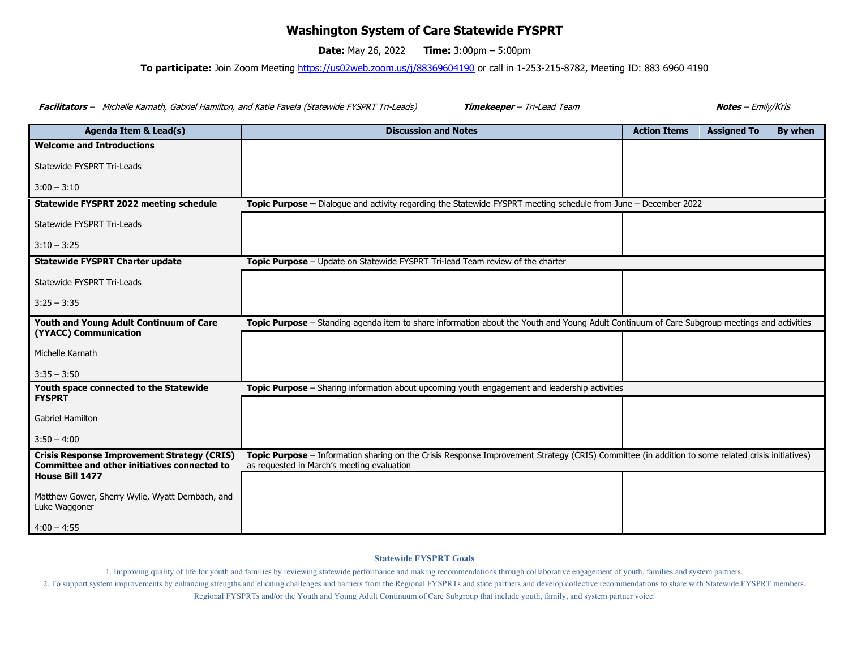## **Washington System of Care Statewide FYSPRT**

**Date:** May 26, 2022 **Time:** 3:00pm – 5:00pm

**To participate:** Join Zoom Meeting<https://us02web.zoom.us/j/88369604190> or call in 1-253-215-8782, Meeting ID: 883 6960 4190

**Facilitators** – Michelle Karnath, Gabriel Hamilton, and Katie Favela (Statewide FYSPRT Tri-Leads) **Timekeeper** – Tri-Lead Team **Notes** – Emily/Kris

| <b>Agenda Item &amp; Lead(s)</b>                                                                                                    | <b>Discussion and Notes</b>                                                                                                                                                                     | <b>Action Items</b> | <b>Assigned To</b> | <b>By when</b> |  |  |
|-------------------------------------------------------------------------------------------------------------------------------------|-------------------------------------------------------------------------------------------------------------------------------------------------------------------------------------------------|---------------------|--------------------|----------------|--|--|
| <b>Welcome and Introductions</b>                                                                                                    |                                                                                                                                                                                                 |                     |                    |                |  |  |
| Statewide FYSPRT Tri-Leads                                                                                                          |                                                                                                                                                                                                 |                     |                    |                |  |  |
| $3:00 - 3:10$                                                                                                                       |                                                                                                                                                                                                 |                     |                    |                |  |  |
| Statewide FYSPRT 2022 meeting schedule                                                                                              | Topic Purpose - Dialogue and activity regarding the Statewide FYSPRT meeting schedule from June - December 2022                                                                                 |                     |                    |                |  |  |
| Statewide FYSPRT Tri-Leads                                                                                                          |                                                                                                                                                                                                 |                     |                    |                |  |  |
| $3:10 - 3:25$                                                                                                                       |                                                                                                                                                                                                 |                     |                    |                |  |  |
| <b>Statewide FYSPRT Charter update</b>                                                                                              | Topic Purpose - Update on Statewide FYSPRT Tri-lead Team review of the charter                                                                                                                  |                     |                    |                |  |  |
| Statewide FYSPRT Tri-Leads                                                                                                          |                                                                                                                                                                                                 |                     |                    |                |  |  |
| $3:25 - 3:35$                                                                                                                       |                                                                                                                                                                                                 |                     |                    |                |  |  |
| Youth and Young Adult Continuum of Care                                                                                             | Topic Purpose – Standing agenda item to share information about the Youth and Young Adult Continuum of Care Subgroup meetings and activities                                                    |                     |                    |                |  |  |
| (YYACC) Communication                                                                                                               |                                                                                                                                                                                                 |                     |                    |                |  |  |
| Michelle Karnath                                                                                                                    |                                                                                                                                                                                                 |                     |                    |                |  |  |
| $3:35 - 3:50$                                                                                                                       |                                                                                                                                                                                                 |                     |                    |                |  |  |
| Youth space connected to the Statewide<br><b>FYSPRT</b>                                                                             | Topic Purpose - Sharing information about upcoming youth engagement and leadership activities                                                                                                   |                     |                    |                |  |  |
|                                                                                                                                     |                                                                                                                                                                                                 |                     |                    |                |  |  |
| <b>Gabriel Hamilton</b>                                                                                                             |                                                                                                                                                                                                 |                     |                    |                |  |  |
| $3:50 - 4:00$                                                                                                                       |                                                                                                                                                                                                 |                     |                    |                |  |  |
| <b>Crisis Response Improvement Strategy (CRIS)</b><br><b>Committee and other initiatives connected to</b><br><b>House Bill 1477</b> | Topic Purpose - Information sharing on the Crisis Response Improvement Strategy (CRIS) Committee (in addition to some related crisis initiatives)<br>as requested in March's meeting evaluation |                     |                    |                |  |  |
|                                                                                                                                     |                                                                                                                                                                                                 |                     |                    |                |  |  |
| Matthew Gower, Sherry Wylie, Wyatt Dernbach, and<br>Luke Waggoner                                                                   |                                                                                                                                                                                                 |                     |                    |                |  |  |
| $4:00 - 4:55$                                                                                                                       |                                                                                                                                                                                                 |                     |                    |                |  |  |

## **Statewide FYSPRT Goals**

1. Improving quality of life for youth and families by reviewing statewide performance and making recommendations through collaborative engagement of youth, families and system partners.

2. To support system improvements by enhancing strengths and eliciting challenges and barriers from the Regional FYSPRTs and state partners and develop collective recommendations to share with Statewide FYSPRT members,

Regional FYSPRTs and/or the Youth and Young Adult Continuum of Care Subgroup that include youth, family, and system partner voice.